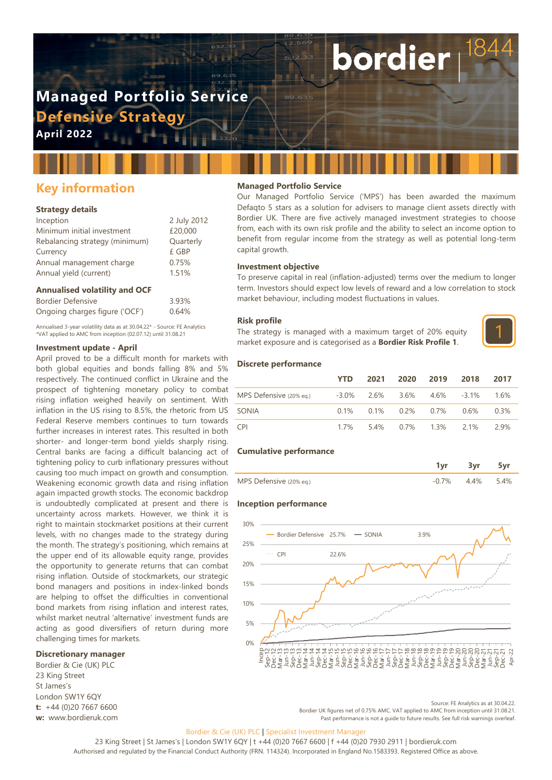# **Managed Portfolio Service Defensive Strategy**

**April 2022**

# **Key information**

# **Strategy details**

| Inception                      | 2 July 2012 |
|--------------------------------|-------------|
| Minimum initial investment     | £20,000     |
| Rebalancing strategy (minimum) | Quarterly   |
| Currency                       | £ GBP       |
| Annual management charge       | 0.75%       |
| Annual yield (current)         | 1.51%       |
|                                |             |

# **Annualised volatility and OCF**

| Bordier Defensive              | 3.93% |
|--------------------------------|-------|
| Ongoing charges figure ('OCF') | 0.64% |

Annualised 3-year volatility data as at 30.04.22\* - Source: FE Analytics \*VAT applied to AMC from inception (02.07.12) until 31.08.21

## **Investment update - April**

April proved to be a difficult month for markets with both global equities and bonds falling 8% and 5% respectively. The continued conflict in Ukraine and the prospect of tightening monetary policy to combat rising inflation weighed heavily on sentiment. With inflation in the US rising to 8.5%, the rhetoric from US Federal Reserve members continues to turn towards further increases in interest rates. This resulted in both shorter- and longer-term bond yields sharply rising. Central banks are facing a difficult balancing act of tightening policy to curb inflationary pressures without causing too much impact on growth and consumption. Weakening economic growth data and rising inflation again impacted growth stocks. The economic backdrop is undoubtedly complicated at present and there is uncertainty across markets. However, we think it is right to maintain stockmarket positions at their current levels, with no changes made to the strategy during the month. The strategy's positioning, which remains at the upper end of its allowable equity range, provides the opportunity to generate returns that can combat rising inflation. Outside of stockmarkets, our strategic bond managers and positions in index-linked bonds are helping to offset the difficulties in conventional bond markets from rising inflation and interest rates, whilst market neutral 'alternative' investment funds are acting as good diversifiers of return during more challenging times for markets.

#### **Discretionary manager**

Bordier & Cie (UK) PLC 23 King Street St James's London SW1Y 6QY **t:** +44 (0)20 7667 6600 **w:** www.bordieruk.com

# **Managed Portfolio Service**

Our Managed Portfolio Service ('MPS') has been awarded the maximum Defaqto 5 stars as a solution for advisers to manage client assets directly with Bordier UK. There are five actively managed investment strategies to choose from, each with its own risk profile and the ability to select an income option to benefit from regular income from the strategy as well as potential long-term capital growth.

bordier

#### **Investment objective**

To preserve capital in real (inflation-adjusted) terms over the medium to longer term. Investors should expect low levels of reward and a low correlation to stock market behaviour, including modest fluctuations in values.

#### **Risk profile**

The strategy is managed with a maximum target of 20% equity market exposure and is categorised as a **Bordier Risk Profile 1**.



### **Discrete performance**

|                                                           | <b>YTD</b> |  | 2021 2020 2019 2018                     | -2017 |
|-----------------------------------------------------------|------------|--|-----------------------------------------|-------|
| MPS Defensive (20% eq.) - -3.0% 2.6% 3.6% 4.6% -3.1% 1.6% |            |  |                                         |       |
| SONIA                                                     |            |  | $0.1\%$ $0.1\%$ $0.2\%$ $0.7\%$ $0.6\%$ | 0.3%  |
| <b>CPI</b>                                                |            |  | 1.7% 5.4% 0.7% 1.3% 2.1%                | 2.9%  |

#### **Cumulative performance**

| MPS Defensive (20% eq.) |  |  |
|-------------------------|--|--|

#### **Inception performance**



Source: FE Analytics as at 30.04.22. Bordier UK figures net of 0.75% AMC. VAT applied to AMC from inception until 31.08.21. Past performance is not a guide to future results. See full risk warnings overleaf.

#### Bordier & Cie (UK) PLC | Specialist Investment Manager

23 King Street | St James's | London SW1Y 6QY | t +44 (0)20 7667 6600 | f +44 (0)20 7930 2911 | bordieruk.com Authorised and regulated by the Financial Conduct Authority (FRN. 114324). Incorporated in England No.1583393. Registered Office as above.